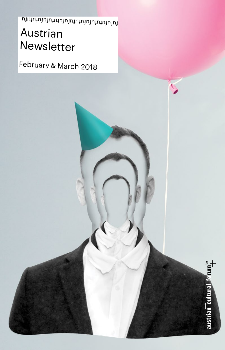Austrian Newsletter  $\overline{\mathsf{m}}$ 

Ó

austrian cultural forum

February & March 2018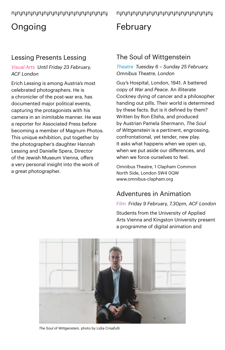# **Ongoing**

## Lessing Presents Lessing

#### *Visual Arts Until Friday 23 February, ACF London*

Erich Lessing is among Austria's most celebrated photographers. He is a chronicler of the post-war era, has documented major political events, capturing the protagonists with his camera in an inimitable manner. He was a reporter for Associated Press before becoming a member of Magnum Photos. This unique exhibition, put together by the photographer's daughter Hannah Lessing and Danielle Spera, Director of the Jewish Museum Vienna, offers a very personal insight into the work of a great photographer.

fufufufufufufufufufufufufufufufufufu

# February

## The Soul of Wittgenstein

*Theatre Tuesday 6 – Sunday 25 February, Omnibus Theatre, London*

Guy's Hospital, London, 1941. A battered copy of *War and Peace*. An illiterate Cockney dying of cancer and a philosopher handing out pills. Their world is determined by these facts. But is it defined by them? Written by Ron Elisha, and produced by Austrian Pamela Shermann, *The Soul of Wittgenstein* is a pertinent, engrossing, confrontational, yet tender, new play. It asks what happens when we open up, when we put aside our differences, and when we force ourselves to feel.

Omnibus Theatre, 1 Clapham Common North Side, London SW4 0QW [www.omnibus-clapham.org](http://www.omnibus-clapham.org) 

## Adventures in Animation

#### *Film Friday 9 February, 7.30pm, ACF London*

Students from the University of Applied Arts Vienna and Kingston University present a programme of digital animation and



*The Soul of Wittgenstein*, photo by Lidia Crisafulli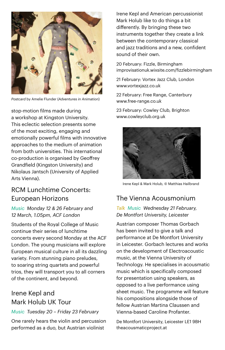

*Postcard* by Amelie Flunder (*Adventures in Animation*)

stop-motion films made during a workshop at Kingston University. This eclectic selection presents some of the most exciting, engaging and emotionally powerful films with innovative approaches to the medium of animation from both universities. This international co-production is organised by Geoffrey Grandfield (Kingston University) and Nikolaus Jantsch (University of Applied Arts Vienna).

#### RCM Lunchtime Concerts: European Horizons

*Music Monday 12 & 26 February and 12 March, 1.05pm, ACF London*

Students of the Royal College of Music continue their series of lunchtime concerts every second Monday at the ACF London. The young musicians will explore European musical culture in all its dazzling variety. From stunning piano preludes, to soaring string quartets and powerful trios, they will transport you to all corners of the continent, and beyond.

#### Irene Kepl and Mark Holub UK Tour

#### *Music Tuesday 20 – Friday 23 February*

One rarely hears the violin and percussion performed as a duo, but Austrian violinist

Irene Kepl and American percussionist Mark Holub like to do things a bit differently. By bringing these two instruments together they create a link between the contemporary classical and jazz traditions and a new, confident sound of their own.

20 February: Fizzle, Birmingham [improvisationuk.wixsite.com/fizzlebirmingham](http://improvisationuk.wixsite.com/fizzlebirmingham)

21 February: Vortex Jazz Club, London [www.vortexjazz.co.uk](http://www.vortexjazz.co.uk)

22 February: Free Range, Canterbury [www.free-range.co.uk](http://www.free-range.co.uk)

23 February: Cowley Club, Brighton [www.cowleyclub.org.uk](http://www.cowleyclub.org.uk) 



Irene Kepl & Mark Holub, © Matthias Hailbrand

## The Vienna Acousmonium

*Talk Music Wednesday 21 February, De Montfort University, Leicester*

Austrian composer Thomas Gorbach has been invited to give a talk and performance at De Montfort University in Leicester. Gorbach lectures and works on the development of Electroacoustic music, at the Vienna University of Technology. He specialises in acousmatic music which is specifically composed for presentation using speakers, as opposed to a live performance using sheet music. The programme will feature his compositions alongside those of fellow Austrian Martina Claussen and Vienna-based Caroline Profanter.

De Montfort University, Leicester LE1 9BH theacousmaticproject.at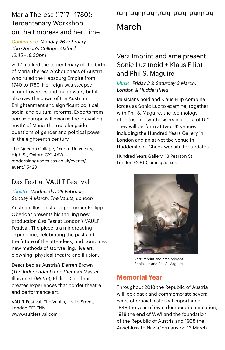## Maria Theresa (1717-1780): nynynynynynynynynynynynynynynyny Tercentenary Workshop on the Empress and her Time

*Conference Monday 26 February, The Queen's College, Oxford, 12.45 – 18.30pm*

2017 marked the tercentenary of the birth of Maria Theresa Archduchess of Austria, who ruled the Habsburg Empire from 1740 to 1780. Her reign was steeped in controversies and major wars, but it also saw the dawn of the Austrian Enlightenment and significant political, social and cultural reforms. Experts from across Europe will discuss the prevailing 'myth' of Maria Theresa alongside questions of gender and political power in the eighteenth century.

The Queen's College, Oxford University, High St, Oxford OX1 4AW [modernlanguages.sas.ac.uk/events/](https://modernlanguages.sas.ac.uk/events/event/15423) [event/15423](https://modernlanguages.sas.ac.uk/events/event/15423) 

## Das Fest at VAULT Festival

*Theatre Wednesday 28 February – Sunday 4 March, The Vaults, London*

Austrian illusionist and performer Philipp Oberlohr presents his thrilling new production *Das Fest* at London's VAULT Festival. The piece is a mindreading experience, celebrating the past and the future of the attendees, and combines new methods of storytelling, live art, clowning, physical theatre and illusion.

Described as Austria's Derren Brown (*The Independent*) and Vienna's Master Illusionist (*Metro*), Philipp Oberlohr creates experiences that border theatre and performance art.

VAULT Festival, The Vaults, Leake Street, London SE1 7NN [www.vaultfestival.com](http://www.vaultfestival.com)

# March

## Verz Imprint and ame present: Sonic Luz (noid + Klaus Filip) and Phil S. Maguire

#### *Music Friday 2 & Saturday 3 March, London & Huddersfield*

Musicians noid and Klaus Filip combine forces as Sonic Luz to examine, together with Phil S. Maguire, the technology of optosonic synthesisers in an era of DIY. They will perform at two UK venues including the Hundred Years Gallery in London and an as-yet tbc venue in Huddersfield. Check website for updates.

Hundred Years Gallery, 13 Pearson St, London E2 8JD; [amespace.uk](http://amespace.uk/)



Verz Imprint and ame present: Sonic Luz and Phil S. Maguire

## **Memorial Year**

Throughout 2018 the Republic of Austria will look back and commemorate several years of crucial historical importance: 1848 the year of civic-democratic revolution, 1918 the end of WWI and the foundation of the Republic of Austria and 1938 the Anschluss to Nazi-Germany on 12 March.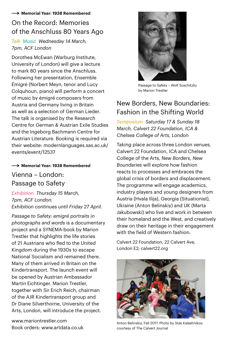#### **Memorial Year: 1938 Remembered**

## On the Record: Memories of the Anschluss 80 Years Ago

*Talk Music Wednesday 14 March, 7pm, ACF London* 

Dorothea McEwan (Warburg Institute, University of London) will give a lecture to mark 80 years since the Anschluss. Following her presentation, Ensemble Émigré (Norbert Meyn, tenor and Lucy Colquhoun, piano) will perform a concert of music by émigré composers from Austria and Germany living in Britain as well as a selection of German Lieder. The talk is organised by the Research Centre for German & Austrian Exile Studies and the Ingeborg Bachmann Centre for Austrian Literature. Booking is required via their website: modernlanguages.sas.ac.uk/ events/event/12537

#### $\rightarrow$  Memorial Year: 1938 Remembered

#### Vienna – London: Passage to Safety

*Exhibition Thursday 15 March, 7pm, ACF London. Exhibition continues until Friday 27 April.* 

*Passage to Safety: emigré portraits in photographs and words* is a documentary project and a SYNEMA-book by Marion Trestler that highlights the life stories of 21 Austrians who fled to the United Kingdom during the 1930s to escape National Socialism and remained there. Many of them arrived in Britain on the Kindertransport. The launch event will be opened by Austrian Ambassador Martin Eichtinger. Marion Trestler, together with Sir Erich Reich, chairman of the AJR Kindertransport group and Dr Diane Silverthorne, University of the Arts, London, will introduce the project.

[www.mariontrestler.com](http://www.mariontrestler.com) Book orders: www.artdata.co.uk



Passage to Safety – Wolf Suschitzky by Marion Trestler

## New Borders, New Boundaries: Fashion in the Shifting World

*Symposium Saturday 17 & Sunday 18 March, Calvert 22 Foundation, ICA & Chelsea College of Arts, London*

Taking place across three London venues, Calvert 22 Foundation, ICA and Chelsea College of the Arts, *New Borders, New Boundaries* will explore how fashion reacts to processes and embraces the global crisis of borders and displacement. The programme will engage academics, industry players and young designers from Austria (Hvala Ilija), Georgia (Situationist), Ukraine (Anton Belinskiy) and UK (Marta Jakubowski) who live and work in between their homeland and the West, and creatively draw on their heritage in their engagement with the field of Western fashion.

Calvert 22 Foundation, 22 Calvert Ave, London E2; [calvert22.org](http://calvert22.org/)



Anton Belinskiy, Fall 2017. Photo by Stas Kalashnikov; courtesy of The Calvert Journal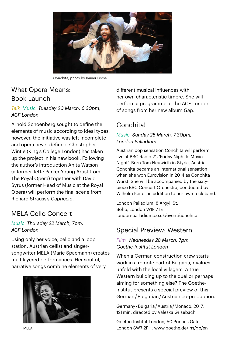

Conchita, photo by Rainer Dröse

#### What Opera Means: Book Launch

*Talk Music Tuesday 20 March, 6.30pm, ACF London*

Arnold Schoenberg sought to define the elements of music according to ideal types; however, the initiative was left incomplete and opera never defined. Christopher Wintle (King's College London) has taken up the project in his new book. Following the author's introduction Anita Watson (a former Jette Parker Young Artist from The Royal Opera) together with David Syrus (former Head of Music at the Royal Opera) will perform the final scene from Richard Strauss's *Capriccio*.

## MELA Cello Concert

#### *Music Thursday 22 March, 7pm, ACF London*

Using only her voice, cello and a loop station, Austrian cellist and singersongwriter MELA (Marie Spaemann) creates multilayered performances. Her soulful, narrative songs combine elements of very



different musical influences with her own characteristic timbre. She will perform a programme at the ACF London of songs from her new album *Gap*.

## Conchita!

#### *Music Sunday 25 March, 7.30pm, London Palladium*

Austrian pop sensation Conchita will perform live at BBC Radio 2's 'Friday Night Is Music Night'. Born Tom Neuwirth in Styria, Austria, Conchita became an international sensation when she won Eurovision in 2014 as Conchita Wurst. She will be accompanied by the sixtypiece BBC Concert Orchestra, conducted by Wilhelm Keitel, in addition to her own rock band.

London Palladium, 8 Argyll St, Soho, London W1F 7TE [london-palladium.co.uk/event/conchita](http://london-palladium.co.uk/event/conchita/)

#### Special Preview: Western

*Film Wednesday 28 March, 7pm, Goethe-Institut London*

When a German construction crew starts work in a remote part of Bulgaria, rivalries unfold with the local villagers. A true Western building up to the duel or perhaps aiming for something else? The Goethe-Institut presents a special preview of this German / Bulgarian / Austrian co-production.

Germany / Bulgaria / Austria / Monaco, 2017, 121min, directed by Valeska Grisebach

Goethe-Institut London, 50 Princes Gate, MELA London SW7 2PH; www.goethe.de/ins/gb/en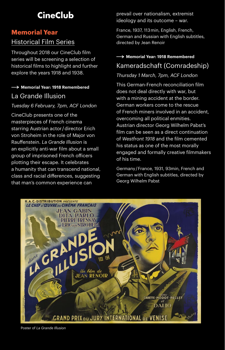# **CineClub**

## **Memorial Year** Historical Film Series

Throughout 2018 our CineClub film series will be screening a selection of historical films to highlight and further explore the years 1918 and 1938.

#### La Grande Illusion **→ Memorial Year: 1918 Remembered**

#### *Tuesday 6 February, 7pm, ACF London*

CineClub presents one of the masterpieces of French cinema starring Austrian actor / director Erich von Stroheim in the role of Major von Rauffenstein. *La Grande Illusion* is an explicitly anti-war film about a small group of imprisoned French officers plotting their escape. It celebrates a humanity that can transcend national, class and racial differences, suggesting that man's common experience can

prevail over nationalism, extremist ideology and its outcome – war.

France, 1937, 113 min, English, French, German and Russian with English subtitles, directed by Jean Renoir

#### Kameradschaft (Comradeship)  $\rightarrow$  Memorial Year: 1918 Remembered

#### *Thursday 1 March, 7pm, ACF London*

This German-French reconciliation film does not deal directly with war, but with a mining accident at the border. German workers come to the rescue of French miners involved in an accident, overcoming all political enmities. Austrian director Georg Wilhelm Pabst's film can be seen as a direct continuation of *Westfront 1918* and the film cemented his status as one of the most morally engaged and formally creative filmmakers of his time.

Germany / France, 1931, 93min, French and German with English subtitles, directed by Georg Wilhelm Pabst



Poster of *La Grande Illusion*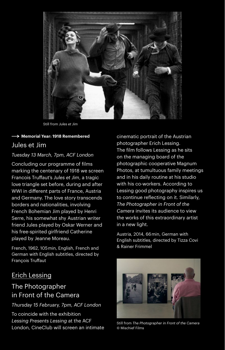

Still from *Jules et Jim*

#### Jules et Jim **Memorial Year: 1918 Remembered**

#### *Tuesday 13 March, 7pm, ACF London*

Concluding our programme of films marking the centenary of 1918 we screen Francois Truffaut's *Jules et Jim*, a tragic love triangle set before, during and after WWI in different parts of France, Austria and Germany. The love story transcends borders and nationalities, involving French Bohemian Jim played by Henri Serre, his somewhat shy Austrian writer friend Jules played by Oskar Werner and his free-spirited girlfriend Catherine played by Jeanne Moreau.

French, 1962, 105 min, English, French and German with English subtitles, directed by François Truffaut

#### Erich Lessing

## The Photographer in Front of the Camera

*Thursday 15 February, 7pm, ACF London*

To coincide with the exhibition *Lessing Presents Lessing* at the ACF London, CineClub will screen an intimate cinematic portrait of the Austrian photographer Erich Lessing. The film follows Lessing as he sits on the managing board of the photographic cooperative Magnum Photos, at tumultuous family meetings and in his daily routine at his studio with his co-workers. According to Lessing good photography inspires us to continue reflecting on it. Similarly, *The Photographer in Front of the Camera* invites its audience to view the works of this extraordinary artist in a new light.

Austria, 2014, 66 min, German with English subtitles, directed by Tizza Covi & Rainer Frimmel



Still from *The Photographer in Front of the Camera* © Mischief Films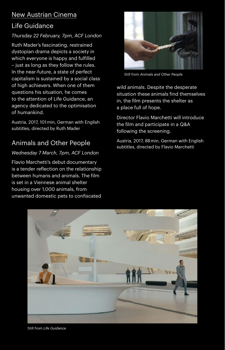## New Austrian Cinema

## Life Guidance

#### *Thursday 22 February, 7pm, ACF London*

Ruth Mader's fascinating, restrained dystopian drama depicts a society in which everyone is happy and fulfilled – just as long as they follow the rules. In the near-future, a state of perfect capitalism is sustained by a social class of high achievers. When one of them questions his situation, he comes to the attention of Life Guidance, an agency dedicated to the optimisation of humankind.

Austria, 2017, 101 min, German with English subtitles, directed by Ruth Mader

## Animals and Other People

#### *Wednesday 7 March, 7pm, ACF London*

Flavio Marchetti's debut documentary is a tender reflection on the relationship between humans and animals. The film is set in a Viennese animal shelter housing over 1,000 animals, from unwanted domestic pets to confiscated



Still from *Animals and Other People* 

wild animals. Despite the desperate situation these animals find themselves in, the film presents the shelter as a place full of hope.

Director Flavio Marchetti will introduce the film and participate in a Q&A following the screening.

Austria, 2017, 88 min, German with English subtitles, directed by Flavio Marchetti



Still from *Life Guidance*